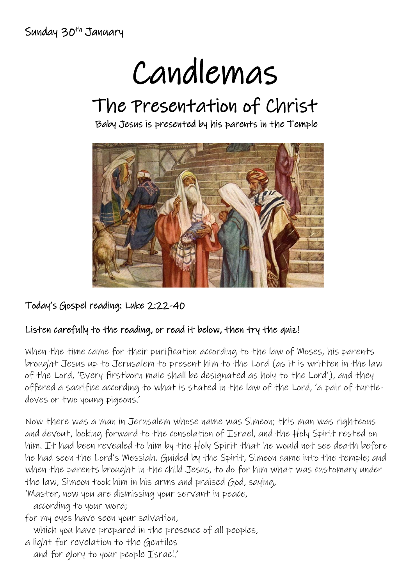Sunday 30<sup>th</sup> January

# Candlemas

## The Presentation of Christ

Baby Jesus is presented by his parents in the Temple



#### Today's Gospel reading: Luke 2:22-40

#### Listen carefully to the reading, or read it below, then try the quiz!

When the time came for their purification according to the law of Moses, his parents brought Jesus up to Jerusalem to present him to the Lord (as it is written in the law of the Lord, 'Every firstborn male shall be designated as holy to the Lord'), and they offered a sacrifice according to what is stated in the law of the Lord, 'a pair of turtledoves or two young pigeons.'

Now there was a man in Jerusalem whose name was Simeon; this man was righteous and devout, looking forward to the consolation of Israel, and the Holy Spirit rested on him. It had been revealed to him by the Holy Spirit that he would not see death before he had seen the Lord's Messiah. Guided by the Spirit, Simeon came into the temple; and when the parents brought in the child Jesus, to do for him what was customary under the law, Simeon took him in his arms and praised God, saying,

'Master, now you are dismissing your servant in peace,

according to your word;

for my eyes have seen your salvation,

which you have prepared in the presence of all peoples,

a light for revelation to the Gentiles and for glory to your people Israel.'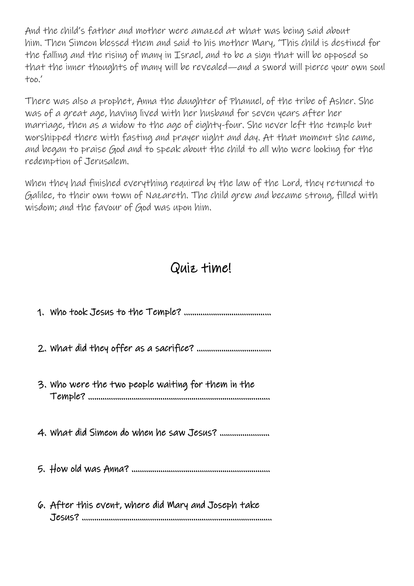And the child's father and mother were amazed at what was being said about him. Then Simeon blessed them and said to his mother Mary, 'This child is destined for the falling and the rising of many in Israel, and to be a sign that will be opposed so that the inner thoughts of many will be revealed—and a sword will pierce your own soul too.'

There was also a prophet, Anna the daughter of Phanuel, of the tribe of Asher. She was of a great age, having lived with her husband for seven years after her marriage, then as a widow to the age of eighty-four. She never left the temple but worshipped there with fasting and prayer night and day. At that moment she came, and began to praise God and to speak about the child to all who were looking for the redemption of Jerusalem.

When they had finished everything required by the law of the Lord, they returned to Galilee, to their own town of Nazareth. The child grew and became strong, filled with wisdom; and the favour of God was upon him.

### Quiz time!

| 3. Who were the two people waiting for them in the  |
|-----------------------------------------------------|
| 4. What did Simeon do when he saw Jesus?            |
|                                                     |
| 6. After this event, where did Mary and Joseph take |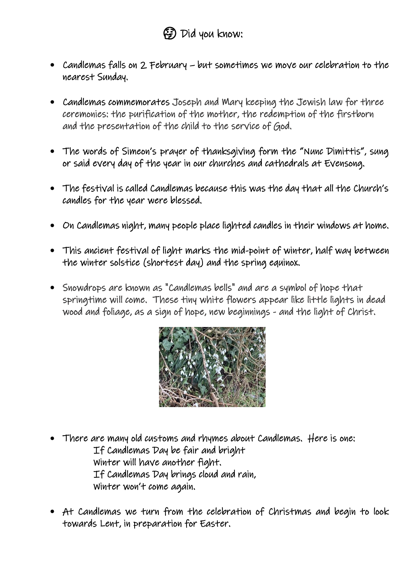- Candlemas falls on 2 February but sometimes we move our celebration to the nearest Sunday.
- Candlemas commemorates Joseph and Mary keeping the Jewish law for three ceremonies: the purification of the mother, the redemption of the firstborn and the presentation of the child to the service of God.
- The words of Simeon's prayer of thanksgiving form the "Nunc Dimittis", sung or said every day of the year in our churches and cathedrals at Evensong.
- The festival is called Candlemas because this was the day that all the Church's candles for the year were blessed.
- On Candlemas night, many people place lighted candles in their windows at home.
- This ancient festival of light marks the mid-point of winter, half way between the winter solstice (shortest day) and the spring equinox.
- Snowdrops are known as "Candlemas bells" and are a symbol of hope that springtime will come. These tiny white flowers appear like little lights in dead wood and foliage, as a sign of hope, new beginnings - and the light of Christ.



- There are many old customs and rhymes about Candlemas. Here is one: If Candlemas Day be fair and bright Winter will have another fight. If Candlemas Day brings cloud and rain, Winter won't come again.
- At Candlemas we turn from the celebration of Christmas and begin to look towards Lent, in preparation for Easter.